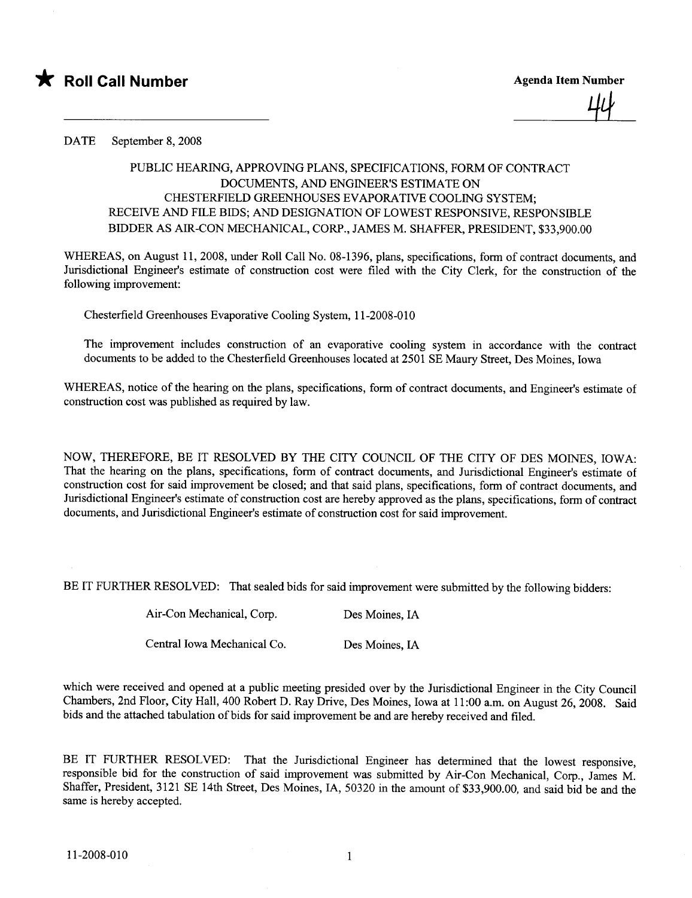

44

DATE September 8, 2008

## PUBLIC HEARING, APPROVING PLANS, SPECIFICATIONS, FORM OF CONTRACT DOCUMENTS, AND ENGINEER'S ESTIMATE ON CHESTERFIELD GREENHOUSES EVAPORATIVE COOLING SYSTEM; RECEIVE AND FILE BIDS; AND DESIGNATION OF LOWEST RESPONSIVE, RESPONSIBLE BIDDER AS AIR-CON MECHANICAL, CORP., JAMES M. SHAFFER, PRESIDENT, \$33,900.00

WHEREAS, on August 11,2008, under Roll Call No. 08-1396, plans, specifications, form of contract documents, and Jurisdictional Engineer's estimate of construction cost were filed with the City Clerk, for the construction of the following improvement:

Chesterfield Greenhouses Evaporative Cooling System, 11-2008-010

The improvement includes construction of an evaporative cooling system in accordance with the contract documents to be added to the Chesterfield Greenhouses located at 2501 SE Maury Street, Des Moines, Iowa

WHEREAS, notice of the hearing on the plans, specifications, form of contract documents, and Engineer's estimate of construction cost was published as required by law.

NOW, THEREFORE, BE IT RESOLVED BY THE CITY COUNCIL OF THE CITY OF DES MOINES, IOWA: That the hearing on the plans, specifications, form of contract documents, and Jurisdictional Engineer's estimate of construction cost for said improvement be closed; and that said plans, specifications, form of contract documents, and Jurisdictional Engineer's estimate of construction cost are hereby approved as the plans, specifications, form of contract documents, and Jurisdictional Engineer's estimate of construction cost for said improvement.

BE IT FURTHER RESOLVED: That sealed bids for said improvement were submitted by the following bidders:

Air-Con Mechanical, Corp. Des Moines, IA

Central Iowa Mechanical Co. Des Moines, IA

which were received and opened at a public meeting presided over by the Jurisdictional Engineer in the City Council Chambers, 2nd Floor, City Hall, 400 Robert D. Ray Drive, Des Moines, Iowa at 11:00 a.m. on August 26, 2008. Said bids and the attached tabulation of bids for said improvement be and are hereby received and fied.

BE IT FURTHER RESOLVED: That the Jurisdictional Engineer has determined that the lowest responsive, responsible bid for the construction of said improvement was submitted by Air-Con Mechanical, Corp., James M. Shaffer, President, 3121 SE 14th Street, Des Moines, lA, 50320 in the amount of \$33,900.00, and said bid be and the same is hereby accepted.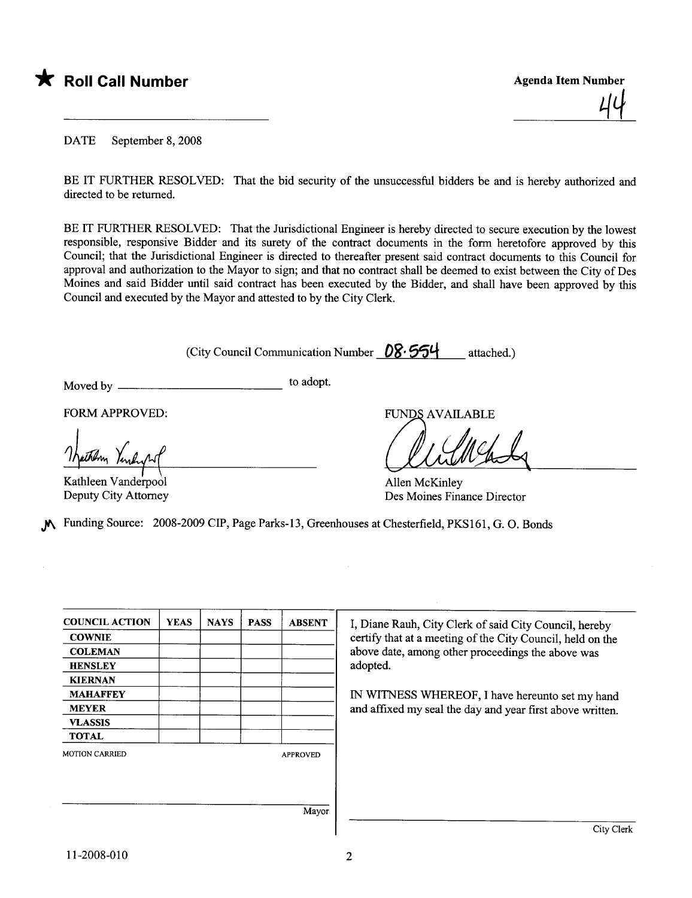

<u>44</u>

DATE September 8, 2008

BE IT FURTHER RESOLVED: That the bid security of the unsuccessful bidders be and is hereby authorized and directed to be returned.

BE IT FURTHER RESOLVED: That the Jurisdictional Engineer is hereby directed to secure execution by the lowest responsible, responsive Bidder and its surety of the contract documents in the form heretofore approved by this Council; that the Jurisdictional Engineer is directed to thereafter present said contract documents to this Council for approval and authorization to the Mayor to sign; and that no contract shall be deemed to exist between the City of Des Moines and said Bidder until said contract has been executed by the Bidder, and shall have been approved by this Council and executed by the Mayor and attested to by the City Clerk.

(City Council Communication Number  $08.554$  attached.)

Moved by to adopt.

FORM APPROVED:

FORM APPROVED

Kathleen Vanderpool Deputy City Attorney

FUNDS AVAILABLE

Allen McKinley Des Moines Finance Director

.) Funding Source: 2008-2009 CIP, Page Parks-13, Greenhouses at Chesterfield, PKS161, G. O. Bonds

| <b>COUNCIL ACTION</b> | <b>YEAS</b> | <b>NAYS</b> | <b>PASS</b> | <b>ABSENT</b>   |
|-----------------------|-------------|-------------|-------------|-----------------|
| <b>COWNIE</b>         |             |             |             |                 |
| <b>COLEMAN</b>        |             |             |             |                 |
| <b>HENSLEY</b>        |             |             |             |                 |
| <b>KIERNAN</b>        |             |             |             |                 |
| <b>MAHAFFEY</b>       |             |             |             |                 |
| <b>MEYER</b>          |             |             |             |                 |
| <b>VLASSIS</b>        |             |             |             |                 |
| <b>TOTAL</b>          |             |             |             |                 |
| <b>MOTION CARRIED</b> |             |             |             | <b>APPROVED</b> |
|                       |             |             |             |                 |
|                       |             |             |             |                 |
|                       |             |             |             | Mayor           |

I, Diane Rauh, City Clerk of said City Council, hereby certify that at a meeting of the City Council, held on the above date, among other proceedings the above was adopted.

IN WITNESS WHEREOF, I have hereunto set my hand and affixed my seal the day and year first above written.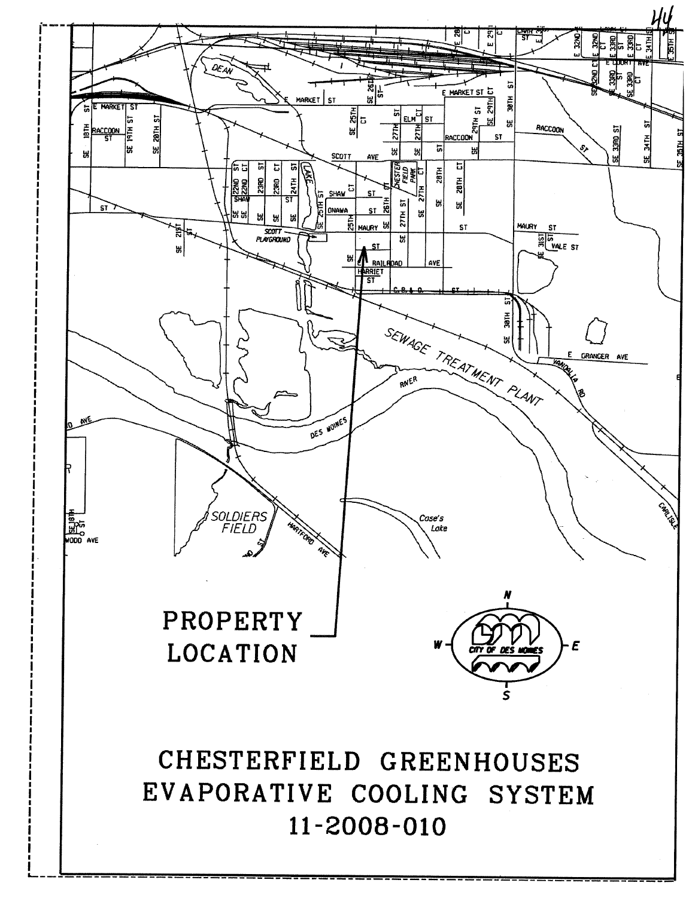